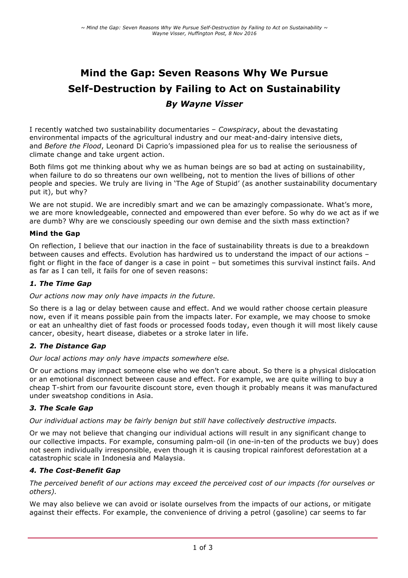# **Mind the Gap: Seven Reasons Why We Pursue Self-Destruction by Failing to Act on Sustainability** *By Wayne Visser*

I recently watched two sustainability documentaries – *Cowspiracy*, about the devastating environmental impacts of the agricultural industry and our meat-and-dairy intensive diets, and *Before the Flood*, Leonard Di Caprio's impassioned plea for us to realise the seriousness of climate change and take urgent action.

Both films got me thinking about why we as human beings are so bad at acting on sustainability, when failure to do so threatens our own wellbeing, not to mention the lives of billions of other people and species. We truly are living in 'The Age of Stupid' (as another sustainability documentary put it), but why?

We are not stupid. We are incredibly smart and we can be amazingly compassionate. What's more, we are more knowledgeable, connected and empowered than ever before. So why do we act as if we are dumb? Why are we consciously speeding our own demise and the sixth mass extinction?

#### **Mind the Gap**

On reflection, I believe that our inaction in the face of sustainability threats is due to a breakdown between causes and effects. Evolution has hardwired us to understand the impact of our actions – fight or flight in the face of danger is a case in point – but sometimes this survival instinct fails. And as far as I can tell, it fails for one of seven reasons:

#### *1. The Time Gap*

#### *Our actions now may only have impacts in the future.*

So there is a lag or delay between cause and effect. And we would rather choose certain pleasure now, even if it means possible pain from the impacts later. For example, we may choose to smoke or eat an unhealthy diet of fast foods or processed foods today, even though it will most likely cause cancer, obesity, heart disease, diabetes or a stroke later in life.

#### *2. The Distance Gap*

*Our local actions may only have impacts somewhere else.*

Or our actions may impact someone else who we don't care about. So there is a physical dislocation or an emotional disconnect between cause and effect. For example, we are quite willing to buy a cheap T-shirt from our favourite discount store, even though it probably means it was manufactured under sweatshop conditions in Asia.

#### *3. The Scale Gap*

*Our individual actions may be fairly benign but still have collectively destructive impacts.*

Or we may not believe that changing our individual actions will result in any significant change to our collective impacts. For example, consuming palm-oil (in one-in-ten of the products we buy) does not seem individually irresponsible, even though it is causing tropical rainforest deforestation at a catastrophic scale in Indonesia and Malaysia.

#### *4. The Cost-Benefit Gap*

*The perceived benefit of our actions may exceed the perceived cost of our impacts (for ourselves or others).*

We may also believe we can avoid or isolate ourselves from the impacts of our actions, or mitigate against their effects. For example, the convenience of driving a petrol (gasoline) car seems to far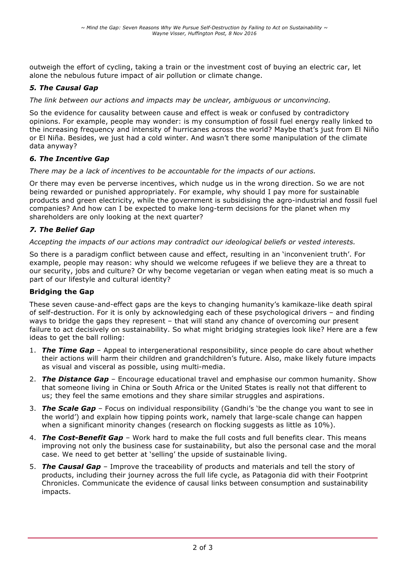outweigh the effort of cycling, taking a train or the investment cost of buying an electric car, let alone the nebulous future impact of air pollution or climate change.

## *5. The Causal Gap*

### *The link between our actions and impacts may be unclear, ambiguous or unconvincing.*

So the evidence for causality between cause and effect is weak or confused by contradictory opinions. For example, people may wonder: is my consumption of fossil fuel energy really linked to the increasing frequency and intensity of hurricanes across the world? Maybe that's just from El Niño or El Niña. Besides, we just had a cold winter. And wasn't there some manipulation of the climate data anyway?

## *6. The Incentive Gap*

#### *There may be a lack of incentives to be accountable for the impacts of our actions.*

Or there may even be perverse incentives, which nudge us in the wrong direction. So we are not being rewarded or punished appropriately. For example, why should I pay more for sustainable products and green electricity, while the government is subsidising the agro-industrial and fossil fuel companies? And how can I be expected to make long-term decisions for the planet when my shareholders are only looking at the next quarter?

# *7. The Belief Gap*

#### *Accepting the impacts of our actions may contradict our ideological beliefs or vested interests.*

So there is a paradigm conflict between cause and effect, resulting in an 'inconvenient truth'. For example, people may reason: why should we welcome refugees if we believe they are a threat to our security, jobs and culture? Or why become vegetarian or vegan when eating meat is so much a part of our lifestyle and cultural identity?

## **Bridging the Gap**

These seven cause-and-effect gaps are the keys to changing humanity's kamikaze-like death spiral of self-destruction. For it is only by acknowledging each of these psychological drivers – and finding ways to bridge the gaps they represent – that will stand any chance of overcoming our present failure to act decisively on sustainability. So what might bridging strategies look like? Here are a few ideas to get the ball rolling:

- 1. *The Time Gap* Appeal to intergenerational responsibility, since people do care about whether their actions will harm their children and grandchildren's future. Also, make likely future impacts as visual and visceral as possible, using multi-media.
- 2. *The Distance Gap* Encourage educational travel and emphasise our common humanity. Show that someone living in China or South Africa or the United States is really not that different to us; they feel the same emotions and they share similar struggles and aspirations.
- 3. *The Scale Gap* Focus on individual responsibility (Gandhi's 'be the change you want to see in the world') and explain how tipping points work, namely that large-scale change can happen when a significant minority changes (research on flocking suggests as little as 10%).
- 4. *The Cost-Benefit Gap* Work hard to make the full costs and full benefits clear. This means improving not only the business case for sustainability, but also the personal case and the moral case. We need to get better at 'selling' the upside of sustainable living.
- 5. *The Causal Gap* Improve the traceability of products and materials and tell the story of products, including their journey across the full life cycle, as Patagonia did with their Footprint Chronicles. Communicate the evidence of causal links between consumption and sustainability impacts.